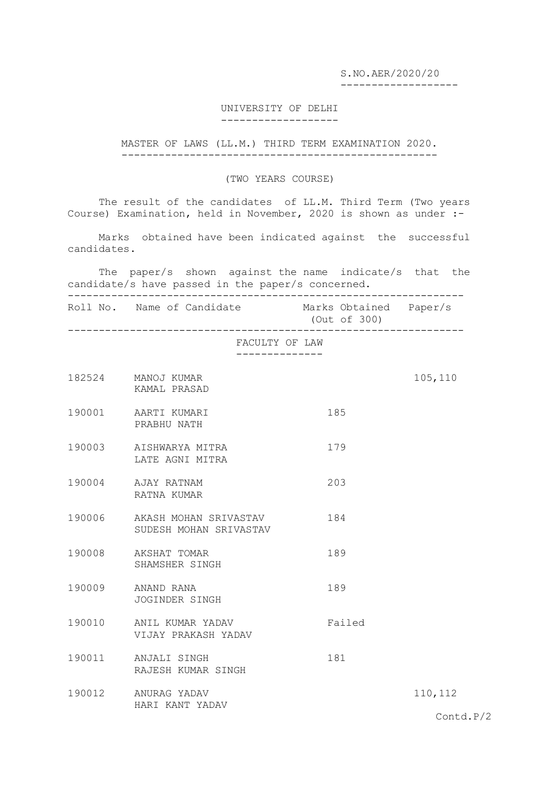S.NO.AER/2020/20

-------------------

## UNIVERSITY OF DELHI -------------------

MASTER OF LAWS (LL.M.) THIRD TERM EXAMINATION 2020. ---------------------------------------------------

## (TWO YEARS COURSE)

The result of the candidates of LL.M. Third Term (Two years Course) Examination, held in November, 2020 is shown as under :-

 Marks obtained have been indicated against the successful candidates.

 The paper/s shown against the name indicate/s that the candidate/s have passed in the paper/s concerned. ----------------------------------------------------------------

Roll No. Name of Candidate Marks Obtained Paper/s (Out of 300)

----------------------------------------------------------------

FACULTY OF LAW

--------------

|        | 182524 MANOJ KUMAR<br>KAMAL PRASAD              |        | 105,110            |
|--------|-------------------------------------------------|--------|--------------------|
| 190001 | AARTI KUMARI<br>PRABHU NATH                     | 185    |                    |
| 190003 | AISHWARYA MITRA<br>LATE AGNI MITRA              | 179    |                    |
| 190004 | AJAY RATNAM<br>RATNA KUMAR                      | 203    |                    |
| 190006 | AKASH MOHAN SRIVASTAV<br>SUDESH MOHAN SRIVASTAV | 184    |                    |
| 190008 | AKSHAT TOMAR<br>SHAMSHER SINGH                  | 189    |                    |
| 190009 | ANAND RANA<br>JOGINDER SINGH                    | 189    |                    |
| 190010 | ANIL KUMAR YADAV<br>VIJAY PRAKASH YADAV         | Failed |                    |
| 190011 | ANJALI SINGH<br>RAJESH KUMAR SINGH              | 181    |                    |
| 190012 | ANURAG YADAV<br>HARI KANT YADAV                 |        | 110, 112           |
|        |                                                 |        | $\text{Contd.P}/2$ |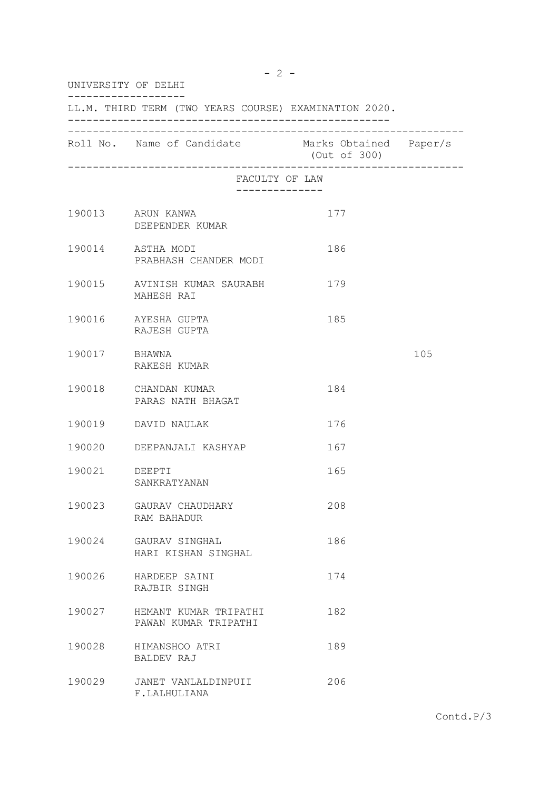| UNIVERSITY OF DELHI                                   |                                                   |              |     |  |
|-------------------------------------------------------|---------------------------------------------------|--------------|-----|--|
| LL.M. THIRD TERM (TWO YEARS COURSE) EXAMINATION 2020. |                                                   |              |     |  |
|                                                       | Roll No. Name of Candidate Marks Obtained Paper/s | (Out of 300) |     |  |
|                                                       | FACULTY OF LAW                                    |              |     |  |
|                                                       | 190013 ARUN KANWA<br>DEEPENDER KUMAR              | 177          |     |  |
|                                                       | 190014 ASTHA MODI<br>PRABHASH CHANDER MODI        | 186          |     |  |
|                                                       | 190015 AVINISH KUMAR SAURABH<br>MAHESH RAI        | 179          |     |  |
|                                                       | 190016 AYESHA GUPTA<br>RAJESH GUPTA               | 185          |     |  |
| 190017 BHAWNA                                         | RAKESH KUMAR                                      |              | 105 |  |
|                                                       | 190018 CHANDAN KUMAR<br>PARAS NATH BHAGAT         | 184          |     |  |
|                                                       | 190019 DAVID NAULAK                               | 176          |     |  |
|                                                       | 190020 DEEPANJALI KASHYAP                         | 167          |     |  |
| 190021 DEEPTI                                         | SANKRATYANAN                                      | 165          |     |  |
| 190023                                                | GAURAV CHAUDHARY<br>RAM BAHADUR                   | 208          |     |  |
| 190024                                                | GAURAV SINGHAL<br>HARI KISHAN SINGHAL             | 186          |     |  |
| 190026                                                | HARDEEP SAINI<br>RAJBIR SINGH                     | 174          |     |  |
| 190027                                                | HEMANT KUMAR TRIPATHI<br>PAWAN KUMAR TRIPATHI     | 182          |     |  |
| 190028                                                | HIMANSHOO ATRI<br>BALDEV RAJ                      | 189          |     |  |
| 190029                                                | JANET VANLALDINPUII<br>F.LALHULIANA               | 206          |     |  |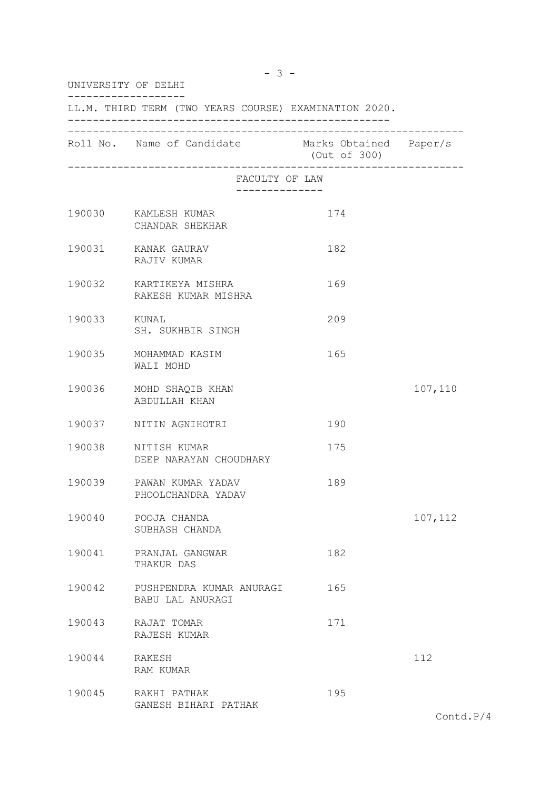| UNIVERSITY OF DELHI                                   |                                                   |              |          |  |
|-------------------------------------------------------|---------------------------------------------------|--------------|----------|--|
| LL.M. THIRD TERM (TWO YEARS COURSE) EXAMINATION 2020. |                                                   |              |          |  |
|                                                       | Roll No. Name of Candidate Marks Obtained Paper/s | (Out of 300) |          |  |
|                                                       | FACULTY OF LAW                                    |              |          |  |
|                                                       | 190030 KAMLESH KUMAR<br>CHANDAR SHEKHAR           | 174          |          |  |
|                                                       | 190031 KANAK GAURAV<br>RAJIV KUMAR                | 182          |          |  |
|                                                       | 190032 KARTIKEYA MISHRA<br>RAKESH KUMAR MISHRA    | 169          |          |  |
| 190033 KUNAL                                          | SH. SUKHBIR SINGH                                 | 209          |          |  |
|                                                       | 190035 MOHAMMAD KASIM<br>WALI MOHD                | 165          |          |  |
|                                                       | 190036 MOHD SHAQIB KHAN<br>ABDULLAH KHAN          |              | 107,110  |  |
|                                                       | 190037 NITIN AGNIHOTRI                            | 190          |          |  |
|                                                       | 190038 NITISH KUMAR<br>DEEP NARAYAN CHOUDHARY     | 175          |          |  |
|                                                       | 190039 PAWAN KUMAR YADAV<br>PHOOLCHANDRA YADAV    | 189          |          |  |
| 190040                                                | POOJA CHANDA<br>SUBHASH CHANDA                    |              | 107, 112 |  |
| 190041                                                | PRANJAL GANGWAR<br>THAKUR DAS                     | 182          |          |  |
| 190042                                                | PUSHPENDRA KUMAR ANURAGI<br>BABU LAL ANURAGI      | 165          |          |  |
| 190043                                                | RAJAT TOMAR<br>RAJESH KUMAR                       | 171          |          |  |
| 190044                                                | RAKESH<br>RAM KUMAR                               |              | 112      |  |
| 190045                                                | RAKHI PATHAK<br>GANESH BIHARI PATHAK              | 195          |          |  |

Contd.P/4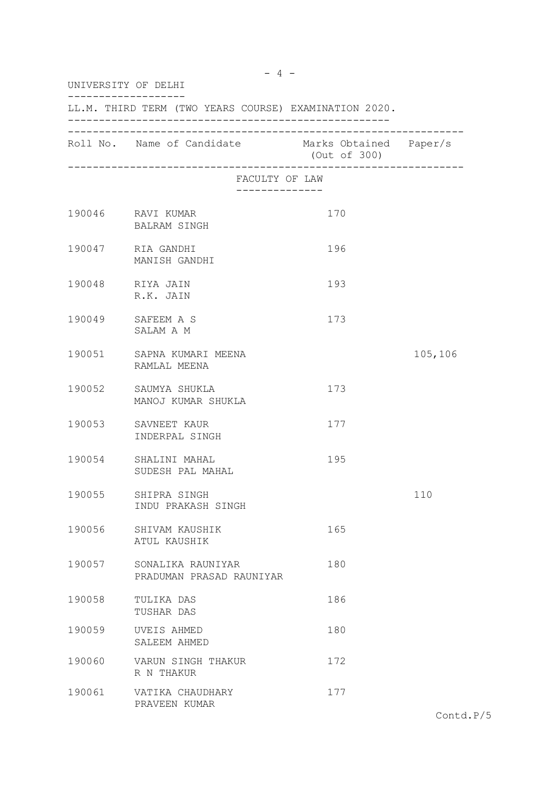| UNIVERSITY OF DELHI<br>LL.M. THIRD TERM (TWO YEARS COURSE) EXAMINATION 2020. |                                               |     |         |  |
|------------------------------------------------------------------------------|-----------------------------------------------|-----|---------|--|
|                                                                              |                                               |     |         |  |
|                                                                              | FACULTY OF LAW<br>--------------              |     |         |  |
|                                                                              | 190046 RAVI KUMAR<br>BALRAM SINGH             | 170 |         |  |
|                                                                              | 190047 RIA GANDHI<br>MANISH GANDHI            | 196 |         |  |
|                                                                              | 190048 RIYA JAIN<br>R.K. JAIN                 | 193 |         |  |
|                                                                              | 190049 SAFEEM A S<br>SALAM A M                | 173 |         |  |
|                                                                              | 190051 SAPNA KUMARI MEENA<br>RAMLAL MEENA     |     | 105,106 |  |
|                                                                              | 190052 SAUMYA SHUKLA<br>MANOJ KUMAR SHUKLA    | 173 |         |  |
|                                                                              | 190053 SAVNEET KAUR<br>INDERPAL SINGH         | 177 |         |  |
|                                                                              | 190054 SHALINI MAHAL<br>SUDESH PAL MAHAL      | 195 |         |  |
|                                                                              | 190055 SHIPRA SINGH<br>INDU PRAKASH SINGH     |     | 110     |  |
| 190056                                                                       | SHIVAM KAUSHIK<br>ATUL KAUSHIK                | 165 |         |  |
| 190057                                                                       | SONALIKA RAUNIYAR<br>PRADUMAN PRASAD RAUNIYAR | 180 |         |  |
| 190058                                                                       | TULIKA DAS<br>TUSHAR DAS                      | 186 |         |  |
| 190059                                                                       | UVEIS AHMED<br>SALEEM AHMED                   | 180 |         |  |
| 190060                                                                       | VARUN SINGH THAKUR<br>R N THAKUR              | 172 |         |  |
| 190061                                                                       | VATIKA CHAUDHARY<br>PRAVEEN KUMAR             | 177 |         |  |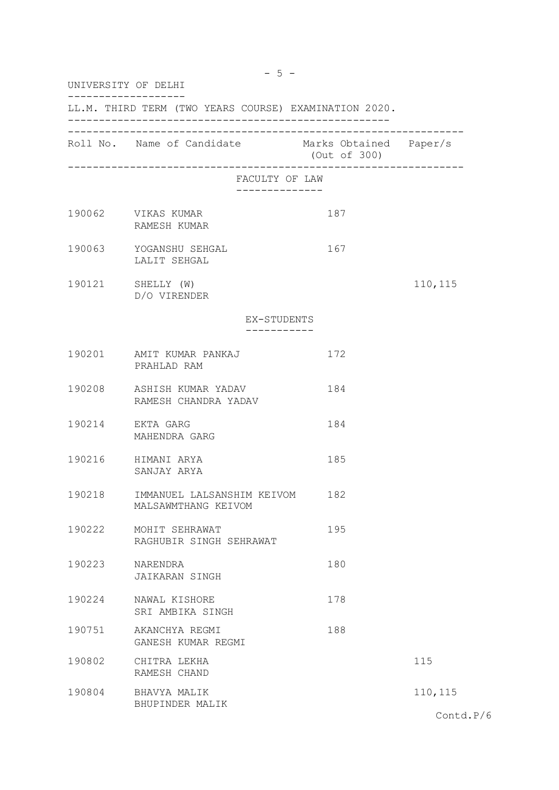| UNIVERSITY OF DELHI                                   |                                                              |              |          |  |
|-------------------------------------------------------|--------------------------------------------------------------|--------------|----------|--|
| LL.M. THIRD TERM (TWO YEARS COURSE) EXAMINATION 2020. |                                                              |              |          |  |
|                                                       | Roll No. Name of Candidate Marks Obtained Paper/s            | (Out of 300) |          |  |
|                                                       | FACULTY OF LAW                                               |              |          |  |
|                                                       | 190062 VIKAS KUMAR<br>RAMESH KUMAR                           | 187          |          |  |
|                                                       | 190063 YOGANSHU SEHGAL<br>LALIT SEHGAL                       | 167          |          |  |
|                                                       | 190121 SHELLY (W)<br>D/O VIRENDER                            |              | 110, 115 |  |
|                                                       | EX-STUDENTS                                                  |              |          |  |
|                                                       | 190201 AMIT KUMAR PANKAJ<br>PRAHLAD RAM                      | 172          |          |  |
|                                                       | 190208 ASHISH KUMAR YADAV<br>RAMESH CHANDRA YADAV            | 184          |          |  |
|                                                       | 190214 EKTA GARG<br>MAHENDRA GARG                            | 184          |          |  |
|                                                       | 190216 HIMANI ARYA<br>SANJAY ARYA                            | 185          |          |  |
|                                                       | 190218 IMMANUEL LALSANSHIM KEIVOM 182<br>MALSAWMTHANG KEIVOM |              |          |  |
| 190222                                                | MOHIT SEHRAWAT<br>RAGHUBIR SINGH SEHRAWAT                    | 195          |          |  |
| 190223                                                | NARENDRA<br>JAIKARAN SINGH                                   | 180          |          |  |
| 190224                                                | NAWAL KISHORE<br>SRI AMBIKA SINGH                            | 178          |          |  |
| 190751                                                | AKANCHYA REGMI<br>GANESH KUMAR REGMI                         | 188          |          |  |
| 190802                                                | CHITRA LEKHA<br>RAMESH CHAND                                 |              | 115      |  |
| 190804                                                | BHAVYA MALIK<br>BHUPINDER MALIK                              |              | 110,115  |  |

Contd.P/6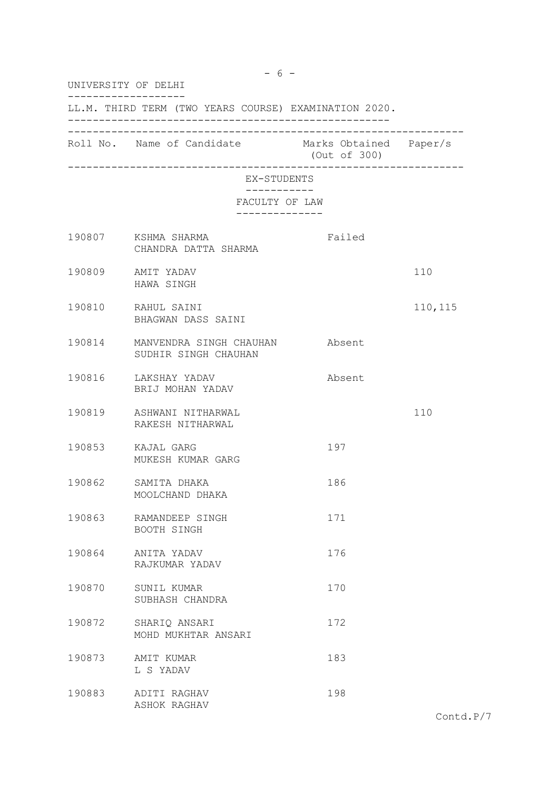| UNIVERSITY OF DELHI                                   |                                                               |              |          |  |
|-------------------------------------------------------|---------------------------------------------------------------|--------------|----------|--|
| LL.M. THIRD TERM (TWO YEARS COURSE) EXAMINATION 2020. |                                                               |              |          |  |
|                                                       | Roll No. Name of Candidate Marks Obtained Paper/s             | (Out of 300) |          |  |
|                                                       | ._________________________________<br>EX-STUDENTS             |              |          |  |
|                                                       | FACULTY OF LAW                                                | . <u>.</u> . |          |  |
|                                                       | 190807 KSHMA SHARMA<br>CHANDRA DATTA SHARMA                   | Failed       |          |  |
|                                                       | 190809 AMIT YADAV<br>HAWA SINGH                               |              | 110      |  |
|                                                       | 190810 RAHUL SAINI<br>BHAGWAN DASS SAINI                      |              | 110, 115 |  |
|                                                       | 190814 MANVENDRA SINGH CHAUHAN Absent<br>SUDHIR SINGH CHAUHAN |              |          |  |
|                                                       | 190816 LAKSHAY YADAV<br>BRIJ MOHAN YADAV                      | Absent       |          |  |
|                                                       | 190819 ASHWANI NITHARWAL<br>RAKESH NITHARWAL                  |              | 110      |  |
|                                                       | 190853 KAJAL GARG<br>MUKESH KUMAR GARG                        | 197          |          |  |
|                                                       | 190862 SAMITA DHAKA<br>MOOLCHAND DHAKA                        | 186          |          |  |
| 190863                                                | RAMANDEEP SINGH<br>BOOTH SINGH                                | 171          |          |  |
| 190864                                                | ANITA YADAV<br>RAJKUMAR YADAV                                 | 176          |          |  |
| 190870                                                | SUNIL KUMAR<br>SUBHASH CHANDRA                                | 170          |          |  |
| 190872                                                | SHARIQ ANSARI<br>MOHD MUKHTAR ANSARI                          | 172          |          |  |
| 190873                                                | AMIT KUMAR<br>L S YADAV                                       | 183          |          |  |
| 190883                                                | ADITI RAGHAV<br>ASHOK RAGHAV                                  | 198          |          |  |